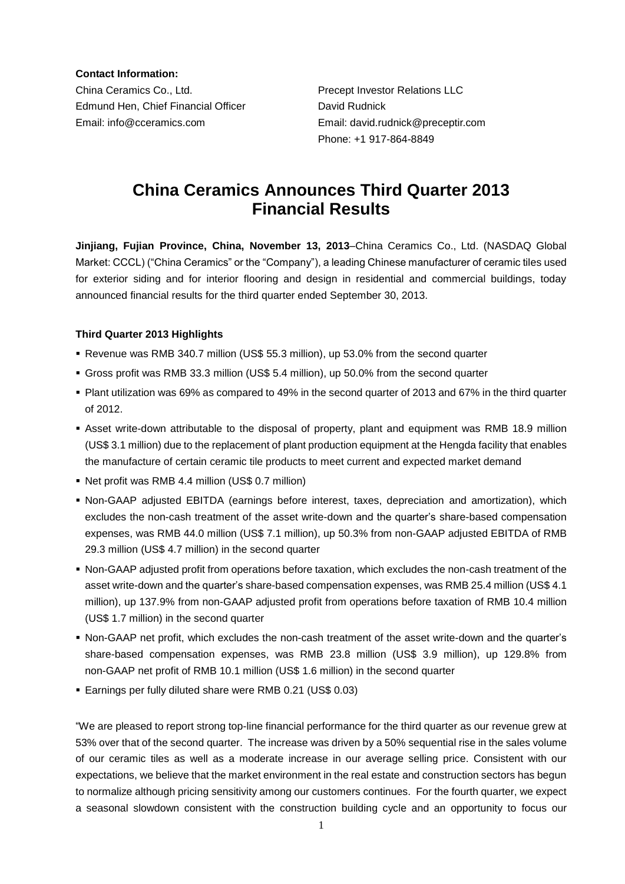**Contact Information:**

China Ceramics Co., Ltd. Precept Investor Relations LLC Edmund Hen, Chief Financial Officer **David Rudnick** Email: info@cceramics.com Email: david.rudnick@preceptir.com

Phone: +1 917-864-8849

# **China Ceramics Announces Third Quarter 2013 Financial Results**

**Jinjiang, Fujian Province, China, November 13, 2013**–China Ceramics Co., Ltd. (NASDAQ Global Market: CCCL) ("China Ceramics" or the "Company"), a leading Chinese manufacturer of ceramic tiles used for exterior siding and for interior flooring and design in residential and commercial buildings, today announced financial results for the third quarter ended September 30, 2013.

# **Third Quarter 2013 Highlights**

- Revenue was RMB 340.7 million (US\$ 55.3 million), up 53.0% from the second quarter
- Gross profit was RMB 33.3 million (US\$ 5.4 million), up 50.0% from the second quarter
- Plant utilization was 69% as compared to 49% in the second quarter of 2013 and 67% in the third quarter of 2012.
- Asset write-down attributable to the disposal of property, plant and equipment was RMB 18.9 million (US\$ 3.1 million) due to the replacement of plant production equipment at the Hengda facility that enables the manufacture of certain ceramic tile products to meet current and expected market demand
- Net profit was RMB 4.4 million (US\$ 0.7 million)
- Non-GAAP adjusted EBITDA (earnings before interest, taxes, depreciation and amortization), which excludes the non-cash treatment of the asset write-down and the quarter's share-based compensation expenses, was RMB 44.0 million (US\$ 7.1 million), up 50.3% from non-GAAP adjusted EBITDA of RMB 29.3 million (US\$ 4.7 million) in the second quarter
- Non-GAAP adjusted profit from operations before taxation, which excludes the non-cash treatment of the asset write-down and the quarter's share-based compensation expenses, was RMB 25.4 million (US\$ 4.1 million), up 137.9% from non-GAAP adjusted profit from operations before taxation of RMB 10.4 million (US\$ 1.7 million) in the second quarter
- Non-GAAP net profit, which excludes the non-cash treatment of the asset write-down and the quarter's share-based compensation expenses, was RMB 23.8 million (US\$ 3.9 million), up 129.8% from non-GAAP net profit of RMB 10.1 million (US\$ 1.6 million) in the second quarter
- Earnings per fully diluted share were RMB 0.21 (US\$ 0.03)

"We are pleased to report strong top-line financial performance for the third quarter as our revenue grew at 53% over that of the second quarter. The increase was driven by a 50% sequential rise in the sales volume of our ceramic tiles as well as a moderate increase in our average selling price. Consistent with our expectations, we believe that the market environment in the real estate and construction sectors has begun to normalize although pricing sensitivity among our customers continues. For the fourth quarter, we expect a seasonal slowdown consistent with the construction building cycle and an opportunity to focus our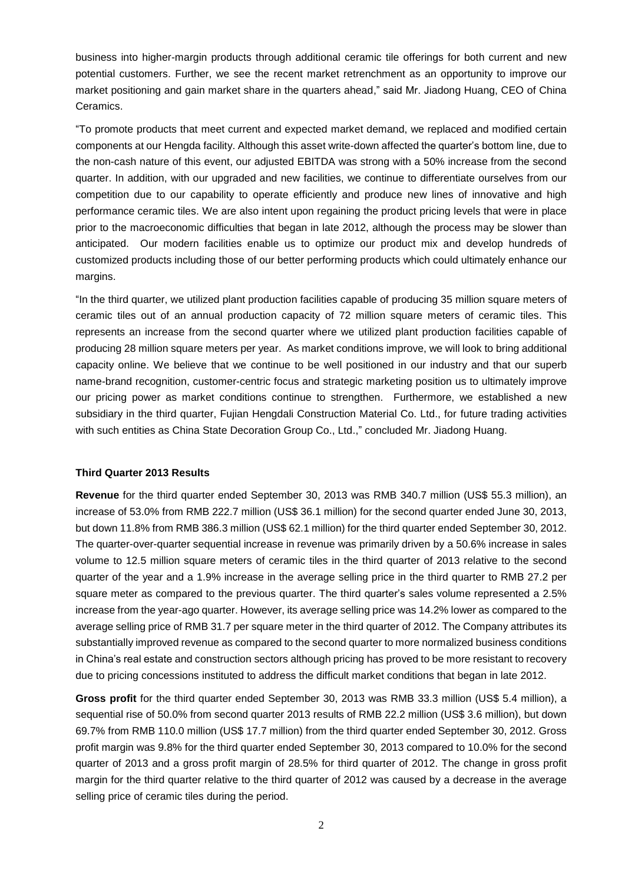business into higher-margin products through additional ceramic tile offerings for both current and new potential customers. Further, we see the recent market retrenchment as an opportunity to improve our market positioning and gain market share in the quarters ahead," said Mr. Jiadong Huang, CEO of China Ceramics.

"To promote products that meet current and expected market demand, we replaced and modified certain components at our Hengda facility. Although this asset write-down affected the quarter's bottom line, due to the non-cash nature of this event, our adjusted EBITDA was strong with a 50% increase from the second quarter. In addition, with our upgraded and new facilities, we continue to differentiate ourselves from our competition due to our capability to operate efficiently and produce new lines of innovative and high performance ceramic tiles. We are also intent upon regaining the product pricing levels that were in place prior to the macroeconomic difficulties that began in late 2012, although the process may be slower than anticipated. Our modern facilities enable us to optimize our product mix and develop hundreds of customized products including those of our better performing products which could ultimately enhance our margins.

"In the third quarter, we utilized plant production facilities capable of producing 35 million square meters of ceramic tiles out of an annual production capacity of 72 million square meters of ceramic tiles. This represents an increase from the second quarter where we utilized plant production facilities capable of producing 28 million square meters per year. As market conditions improve, we will look to bring additional capacity online. We believe that we continue to be well positioned in our industry and that our superb name-brand recognition, customer-centric focus and strategic marketing position us to ultimately improve our pricing power as market conditions continue to strengthen. Furthermore, we established a new subsidiary in the third quarter, Fujian Hengdali Construction Material Co. Ltd., for future trading activities with such entities as China State Decoration Group Co., Ltd.," concluded Mr. Jiadong Huang.

### **Third Quarter 2013 Results**

**Revenue** for the third quarter ended September 30, 2013 was RMB 340.7 million (US\$ 55.3 million), an increase of 53.0% from RMB 222.7 million (US\$ 36.1 million) for the second quarter ended June 30, 2013, but down 11.8% from RMB 386.3 million (US\$ 62.1 million) for the third quarter ended September 30, 2012. The quarter-over-quarter sequential increase in revenue was primarily driven by a 50.6% increase in sales volume to 12.5 million square meters of ceramic tiles in the third quarter of 2013 relative to the second quarter of the year and a 1.9% increase in the average selling price in the third quarter to RMB 27.2 per square meter as compared to the previous quarter. The third quarter's sales volume represented a 2.5% increase from the year-ago quarter. However, its average selling price was 14.2% lower as compared to the average selling price of RMB 31.7 per square meter in the third quarter of 2012. The Company attributes its substantially improved revenue as compared to the second quarter to more normalized business conditions in China's real estate and construction sectors although pricing has proved to be more resistant to recovery due to pricing concessions instituted to address the difficult market conditions that began in late 2012.

**Gross profit** for the third quarter ended September 30, 2013 was RMB 33.3 million (US\$ 5.4 million), a sequential rise of 50.0% from second quarter 2013 results of RMB 22.2 million (US\$ 3.6 million), but down 69.7% from RMB 110.0 million (US\$ 17.7 million) from the third quarter ended September 30, 2012. Gross profit margin was 9.8% for the third quarter ended September 30, 2013 compared to 10.0% for the second quarter of 2013 and a gross profit margin of 28.5% for third quarter of 2012. The change in gross profit margin for the third quarter relative to the third quarter of 2012 was caused by a decrease in the average selling price of ceramic tiles during the period.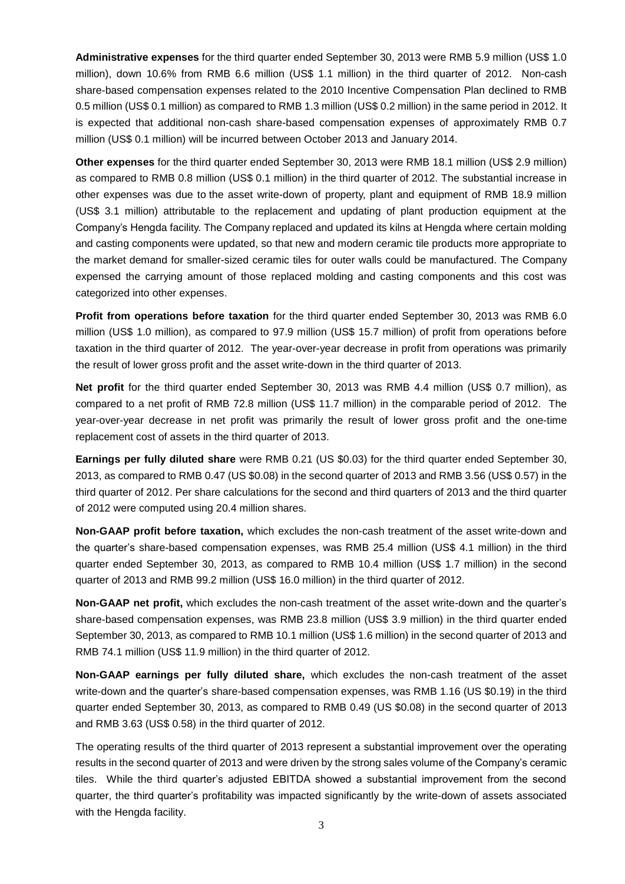**Administrative expenses** for the third quarter ended September 30, 2013 were RMB 5.9 million (US\$ 1.0 million), down 10.6% from RMB 6.6 million (US\$ 1.1 million) in the third quarter of 2012. Non-cash share-based compensation expenses related to the 2010 Incentive Compensation Plan declined to RMB 0.5 million (US\$ 0.1 million) as compared to RMB 1.3 million (US\$ 0.2 million) in the same period in 2012. It is expected that additional non-cash share-based compensation expenses of approximately RMB 0.7 million (US\$ 0.1 million) will be incurred between October 2013 and January 2014.

**Other expenses** for the third quarter ended September 30, 2013 were RMB 18.1 million (US\$ 2.9 million) as compared to RMB 0.8 million (US\$ 0.1 million) in the third quarter of 2012. The substantial increase in other expenses was due to the asset write-down of property, plant and equipment of RMB 18.9 million (US\$ 3.1 million) attributable to the replacement and updating of plant production equipment at the Company's Hengda facility. The Company replaced and updated its kilns at Hengda where certain molding and casting components were updated, so that new and modern ceramic tile products more appropriate to the market demand for smaller-sized ceramic tiles for outer walls could be manufactured. The Company expensed the carrying amount of those replaced molding and casting components and this cost was categorized into other expenses.

**Profit from operations before taxation** for the third quarter ended September 30, 2013 was RMB 6.0 million (US\$ 1.0 million), as compared to 97.9 million (US\$ 15.7 million) of profit from operations before taxation in the third quarter of 2012. The year-over-year decrease in profit from operations was primarily the result of lower gross profit and the asset write-down in the third quarter of 2013.

**Net profit** for the third quarter ended September 30, 2013 was RMB 4.4 million (US\$ 0.7 million), as compared to a net profit of RMB 72.8 million (US\$ 11.7 million) in the comparable period of 2012. The year-over-year decrease in net profit was primarily the result of lower gross profit and the one-time replacement cost of assets in the third quarter of 2013.

**Earnings per fully diluted share** were RMB 0.21 (US \$0.03) for the third quarter ended September 30, 2013, as compared to RMB 0.47 (US \$0.08) in the second quarter of 2013 and RMB 3.56 (US\$ 0.57) in the third quarter of 2012. Per share calculations for the second and third quarters of 2013 and the third quarter of 2012 were computed using 20.4 million shares.

**Non-GAAP profit before taxation,** which excludes the non-cash treatment of the asset write-down and the quarter's share-based compensation expenses, was RMB 25.4 million (US\$ 4.1 million) in the third quarter ended September 30, 2013, as compared to RMB 10.4 million (US\$ 1.7 million) in the second quarter of 2013 and RMB 99.2 million (US\$ 16.0 million) in the third quarter of 2012.

**Non-GAAP net profit,** which excludes the non-cash treatment of the asset write-down and the quarter's share-based compensation expenses, was RMB 23.8 million (US\$ 3.9 million) in the third quarter ended September 30, 2013, as compared to RMB 10.1 million (US\$ 1.6 million) in the second quarter of 2013 and RMB 74.1 million (US\$ 11.9 million) in the third quarter of 2012.

**Non-GAAP earnings per fully diluted share,** which excludes the non-cash treatment of the asset write-down and the quarter's share-based compensation expenses, was RMB 1.16 (US \$0.19) in the third quarter ended September 30, 2013, as compared to RMB 0.49 (US \$0.08) in the second quarter of 2013 and RMB 3.63 (US\$ 0.58) in the third quarter of 2012.

The operating results of the third quarter of 2013 represent a substantial improvement over the operating results in the second quarter of 2013 and were driven by the strong sales volume of the Company's ceramic tiles. While the third quarter's adjusted EBITDA showed a substantial improvement from the second quarter, the third quarter's profitability was impacted significantly by the write-down of assets associated with the Hengda facility.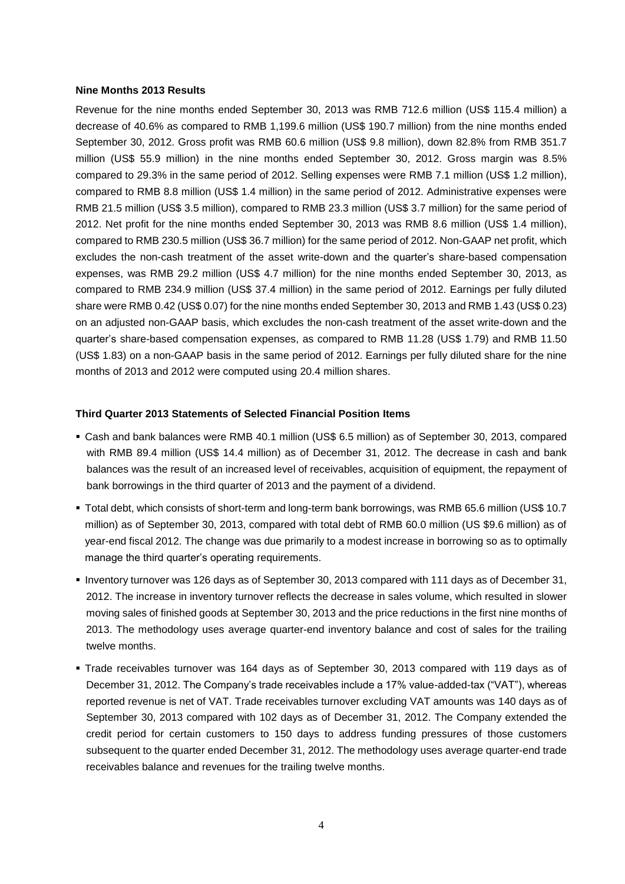#### **Nine Months 2013 Results**

Revenue for the nine months ended September 30, 2013 was RMB 712.6 million (US\$ 115.4 million) a decrease of 40.6% as compared to RMB 1,199.6 million (US\$ 190.7 million) from the nine months ended September 30, 2012. Gross profit was RMB 60.6 million (US\$ 9.8 million), down 82.8% from RMB 351.7 million (US\$ 55.9 million) in the nine months ended September 30, 2012. Gross margin was 8.5% compared to 29.3% in the same period of 2012. Selling expenses were RMB 7.1 million (US\$ 1.2 million), compared to RMB 8.8 million (US\$ 1.4 million) in the same period of 2012. Administrative expenses were RMB 21.5 million (US\$ 3.5 million), compared to RMB 23.3 million (US\$ 3.7 million) for the same period of 2012. Net profit for the nine months ended September 30, 2013 was RMB 8.6 million (US\$ 1.4 million), compared to RMB 230.5 million (US\$ 36.7 million) for the same period of 2012. Non-GAAP net profit, which excludes the non-cash treatment of the asset write-down and the quarter's share-based compensation expenses, was RMB 29.2 million (US\$ 4.7 million) for the nine months ended September 30, 2013, as compared to RMB 234.9 million (US\$ 37.4 million) in the same period of 2012. Earnings per fully diluted share were RMB 0.42 (US\$ 0.07) for the nine months ended September 30, 2013 and RMB 1.43 (US\$ 0.23) on an adjusted non-GAAP basis, which excludes the non-cash treatment of the asset write-down and the quarter's share-based compensation expenses, as compared to RMB 11.28 (US\$ 1.79) and RMB 11.50 (US\$ 1.83) on a non-GAAP basis in the same period of 2012. Earnings per fully diluted share for the nine months of 2013 and 2012 were computed using 20.4 million shares.

### **Third Quarter 2013 Statements of Selected Financial Position Items**

- Cash and bank balances were RMB 40.1 million (US\$ 6.5 million) as of September 30, 2013, compared with RMB 89.4 million (US\$ 14.4 million) as of December 31, 2012. The decrease in cash and bank balances was the result of an increased level of receivables, acquisition of equipment, the repayment of bank borrowings in the third quarter of 2013 and the payment of a dividend.
- Total debt, which consists of short-term and long-term bank borrowings, was RMB 65.6 million (US\$ 10.7 million) as of September 30, 2013, compared with total debt of RMB 60.0 million (US \$9.6 million) as of year-end fiscal 2012. The change was due primarily to a modest increase in borrowing so as to optimally manage the third quarter's operating requirements.
- Inventory turnover was 126 days as of September 30, 2013 compared with 111 days as of December 31, 2012. The increase in inventory turnover reflects the decrease in sales volume, which resulted in slower moving sales of finished goods at September 30, 2013 and the price reductions in the first nine months of 2013. The methodology uses average quarter-end inventory balance and cost of sales for the trailing twelve months.
- Trade receivables turnover was 164 days as of September 30, 2013 compared with 119 days as of December 31, 2012. The Company's trade receivables include a 17% value-added-tax ("VAT"), whereas reported revenue is net of VAT. Trade receivables turnover excluding VAT amounts was 140 days as of September 30, 2013 compared with 102 days as of December 31, 2012. The Company extended the credit period for certain customers to 150 days to address funding pressures of those customers subsequent to the quarter ended December 31, 2012. The methodology uses average quarter-end trade receivables balance and revenues for the trailing twelve months.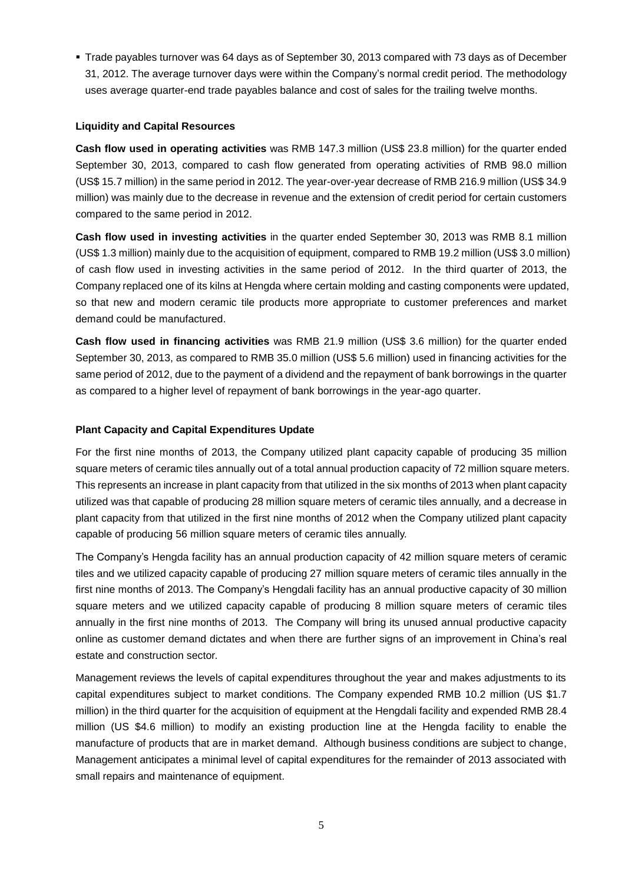Trade payables turnover was 64 days as of September 30, 2013 compared with 73 days as of December 31, 2012. The average turnover days were within the Company's normal credit period. The methodology uses average quarter-end trade payables balance and cost of sales for the trailing twelve months.

# **Liquidity and Capital Resources**

**Cash flow used in operating activities** was RMB 147.3 million (US\$ 23.8 million) for the quarter ended September 30, 2013, compared to cash flow generated from operating activities of RMB 98.0 million (US\$ 15.7 million) in the same period in 2012. The year-over-year decrease of RMB 216.9 million (US\$ 34.9 million) was mainly due to the decrease in revenue and the extension of credit period for certain customers compared to the same period in 2012.

**Cash flow used in investing activities** in the quarter ended September 30, 2013 was RMB 8.1 million (US\$ 1.3 million) mainly due to the acquisition of equipment, compared to RMB 19.2 million (US\$ 3.0 million) of cash flow used in investing activities in the same period of 2012. In the third quarter of 2013, the Company replaced one of its kilns at Hengda where certain molding and casting components were updated, so that new and modern ceramic tile products more appropriate to customer preferences and market demand could be manufactured.

**Cash flow used in financing activities** was RMB 21.9 million (US\$ 3.6 million) for the quarter ended September 30, 2013, as compared to RMB 35.0 million (US\$ 5.6 million) used in financing activities for the same period of 2012, due to the payment of a dividend and the repayment of bank borrowings in the quarter as compared to a higher level of repayment of bank borrowings in the year-ago quarter.

# **Plant Capacity and Capital Expenditures Update**

For the first nine months of 2013, the Company utilized plant capacity capable of producing 35 million square meters of ceramic tiles annually out of a total annual production capacity of 72 million square meters. This represents an increase in plant capacity from that utilized in the six months of 2013 when plant capacity utilized was that capable of producing 28 million square meters of ceramic tiles annually, and a decrease in plant capacity from that utilized in the first nine months of 2012 when the Company utilized plant capacity capable of producing 56 million square meters of ceramic tiles annually.

The Company's Hengda facility has an annual production capacity of 42 million square meters of ceramic tiles and we utilized capacity capable of producing 27 million square meters of ceramic tiles annually in the first nine months of 2013. The Company's Hengdali facility has an annual productive capacity of 30 million square meters and we utilized capacity capable of producing 8 million square meters of ceramic tiles annually in the first nine months of 2013. The Company will bring its unused annual productive capacity online as customer demand dictates and when there are further signs of an improvement in China's real estate and construction sector.

Management reviews the levels of capital expenditures throughout the year and makes adjustments to its capital expenditures subject to market conditions. The Company expended RMB 10.2 million (US \$1.7 million) in the third quarter for the acquisition of equipment at the Hengdali facility and expended RMB 28.4 million (US \$4.6 million) to modify an existing production line at the Hengda facility to enable the manufacture of products that are in market demand. Although business conditions are subject to change, Management anticipates a minimal level of capital expenditures for the remainder of 2013 associated with small repairs and maintenance of equipment.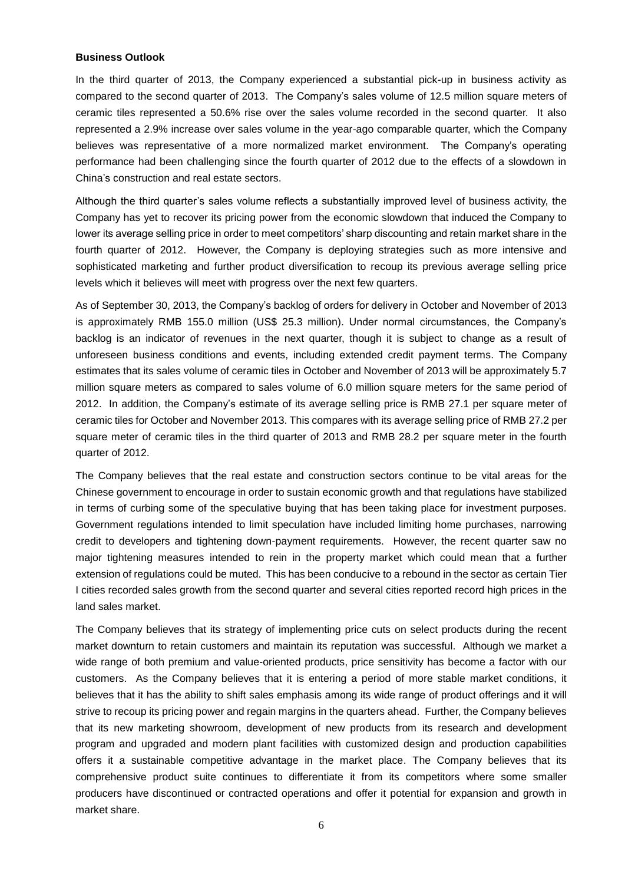### **Business Outlook**

In the third quarter of 2013, the Company experienced a substantial pick-up in business activity as compared to the second quarter of 2013. The Company's sales volume of 12.5 million square meters of ceramic tiles represented a 50.6% rise over the sales volume recorded in the second quarter. It also represented a 2.9% increase over sales volume in the year-ago comparable quarter, which the Company believes was representative of a more normalized market environment. The Company's operating performance had been challenging since the fourth quarter of 2012 due to the effects of a slowdown in China's construction and real estate sectors.

Although the third quarter's sales volume reflects a substantially improved level of business activity, the Company has yet to recover its pricing power from the economic slowdown that induced the Company to lower its average selling price in order to meet competitors' sharp discounting and retain market share in the fourth quarter of 2012. However, the Company is deploying strategies such as more intensive and sophisticated marketing and further product diversification to recoup its previous average selling price levels which it believes will meet with progress over the next few quarters.

As of September 30, 2013, the Company's backlog of orders for delivery in October and November of 2013 is approximately RMB 155.0 million (US\$ 25.3 million). Under normal circumstances, the Company's backlog is an indicator of revenues in the next quarter, though it is subject to change as a result of unforeseen business conditions and events, including extended credit payment terms. The Company estimates that its sales volume of ceramic tiles in October and November of 2013 will be approximately 5.7 million square meters as compared to sales volume of 6.0 million square meters for the same period of 2012. In addition, the Company's estimate of its average selling price is RMB 27.1 per square meter of ceramic tiles for October and November 2013. This compares with its average selling price of RMB 27.2 per square meter of ceramic tiles in the third quarter of 2013 and RMB 28.2 per square meter in the fourth quarter of 2012.

The Company believes that the real estate and construction sectors continue to be vital areas for the Chinese government to encourage in order to sustain economic growth and that regulations have stabilized in terms of curbing some of the speculative buying that has been taking place for investment purposes. Government regulations intended to limit speculation have included limiting home purchases, narrowing credit to developers and tightening down-payment requirements. However, the recent quarter saw no major tightening measures intended to rein in the property market which could mean that a further extension of regulations could be muted. This has been conducive to a rebound in the sector as certain Tier I cities recorded sales growth from the second quarter and several cities reported record high prices in the land sales market.

The Company believes that its strategy of implementing price cuts on select products during the recent market downturn to retain customers and maintain its reputation was successful. Although we market a wide range of both premium and value-oriented products, price sensitivity has become a factor with our customers. As the Company believes that it is entering a period of more stable market conditions, it believes that it has the ability to shift sales emphasis among its wide range of product offerings and it will strive to recoup its pricing power and regain margins in the quarters ahead. Further, the Company believes that its new marketing showroom, development of new products from its research and development program and upgraded and modern plant facilities with customized design and production capabilities offers it a sustainable competitive advantage in the market place. The Company believes that its comprehensive product suite continues to differentiate it from its competitors where some smaller producers have discontinued or contracted operations and offer it potential for expansion and growth in market share.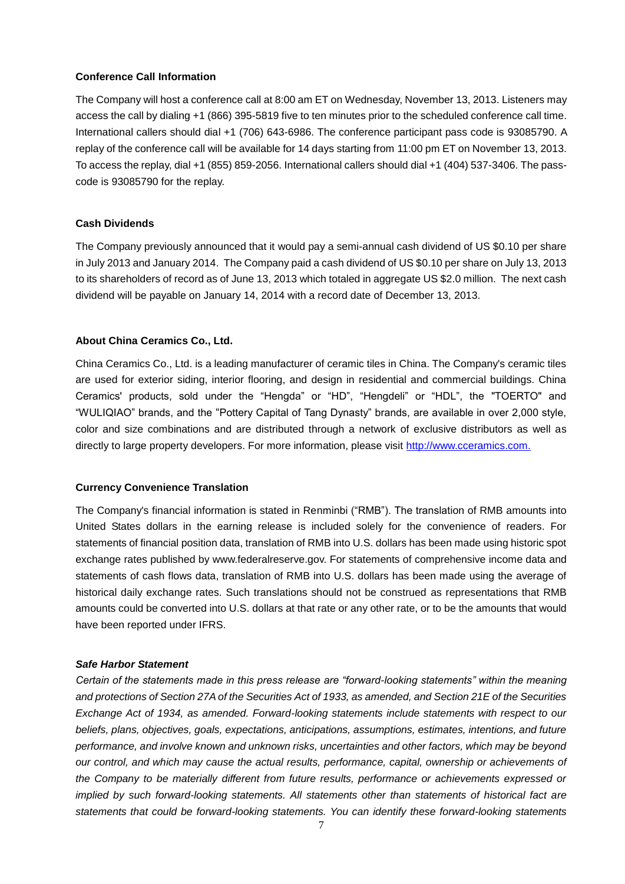## **Conference Call Information**

The Company will host a conference call at 8:00 am ET on Wednesday, November 13, 2013. Listeners may access the call by dialing +1 (866) 395-5819 five to ten minutes prior to the scheduled conference call time. International callers should dial +1 (706) 643-6986. The conference participant pass code is 93085790. A replay of the conference call will be available for 14 days starting from 11:00 pm ET on November 13, 2013. To access the replay, dial +1 (855) 859-2056. International callers should dial +1 (404) 537-3406. The passcode is 93085790 for the replay.

## **Cash Dividends**

The Company previously announced that it would pay a semi-annual cash dividend of US \$0.10 per share in July 2013 and January 2014. The Company paid a cash dividend of US \$0.10 per share on July 13, 2013 to its shareholders of record as of June 13, 2013 which totaled in aggregate US \$2.0 million. The next cash dividend will be payable on January 14, 2014 with a record date of December 13, 2013.

## **About China Ceramics Co., Ltd.**

China Ceramics Co., Ltd. is a leading manufacturer of ceramic tiles in China. The Company's ceramic tiles are used for exterior siding, interior flooring, and design in residential and commercial buildings. China Ceramics' products, sold under the "Hengda" or "HD", "Hengdeli" or "HDL", the "TOERTO" and "WULIQIAO" brands, and the "Pottery Capital of Tang Dynasty" brands, are available in over 2,000 style, color and size combinations and are distributed through a network of exclusive distributors as well as directly to large property developers. For more information, please visit [http://www.cceramics.com.](http://www.cceramics.com/)

### **Currency Convenience Translation**

The Company's financial information is stated in Renminbi ("RMB"). The translation of RMB amounts into United States dollars in the earning release is included solely for the convenience of readers. For statements of financial position data, translation of RMB into U.S. dollars has been made using historic spot exchange rates published by www.federalreserve.gov. For statements of comprehensive income data and statements of cash flows data, translation of RMB into U.S. dollars has been made using the average of historical daily exchange rates. Such translations should not be construed as representations that RMB amounts could be converted into U.S. dollars at that rate or any other rate, or to be the amounts that would have been reported under IFRS.

### *Safe Harbor Statement*

*Certain of the statements made in this press release are "forward-looking statements" within the meaning and protections of Section 27A of the Securities Act of 1933, as amended, and Section 21E of the Securities Exchange Act of 1934, as amended. Forward-looking statements include statements with respect to our beliefs, plans, objectives, goals, expectations, anticipations, assumptions, estimates, intentions, and future performance, and involve known and unknown risks, uncertainties and other factors, which may be beyond our control, and which may cause the actual results, performance, capital, ownership or achievements of the Company to be materially different from future results, performance or achievements expressed or implied by such forward-looking statements. All statements other than statements of historical fact are statements that could be forward-looking statements. You can identify these forward-looking statements*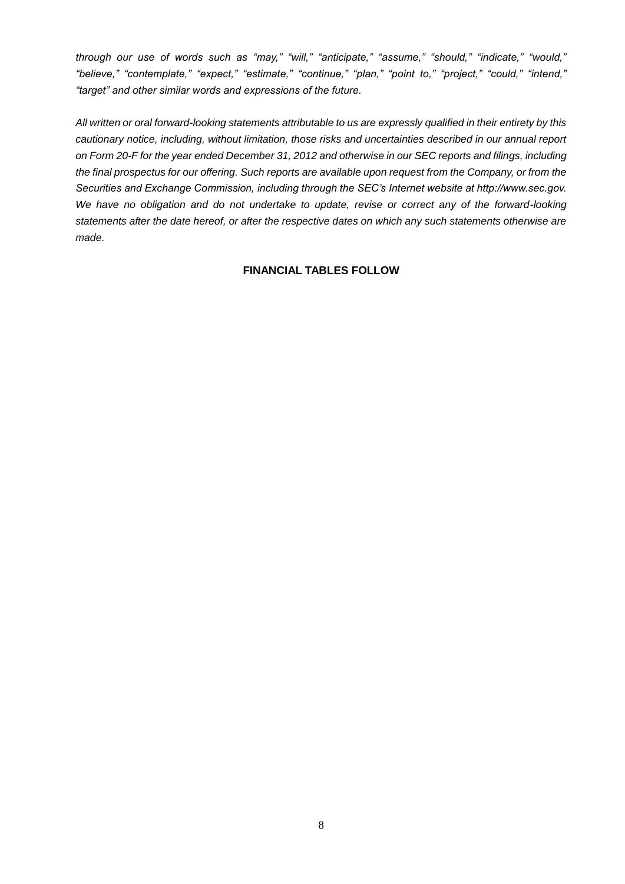*through our use of words such as "may," "will," "anticipate," "assume," "should," "indicate," "would," "believe," "contemplate," "expect," "estimate," "continue," "plan," "point to," "project," "could," "intend," "target" and other similar words and expressions of the future.* 

*All written or oral forward-looking statements attributable to us are expressly qualified in their entirety by this cautionary notice, including, without limitation, those risks and uncertainties described in our annual report on Form 20-F for the year ended December 31, 2012 and otherwise in our SEC reports and filings, including the final prospectus for our offering. Such reports are available upon request from the Company, or from the Securities and Exchange Commission, including through the SEC's Internet website at http://www.sec.gov. We have no obligation and do not undertake to update, revise or correct any of the forward-looking statements after the date hereof, or after the respective dates on which any such statements otherwise are made.*

# **FINANCIAL TABLES FOLLOW**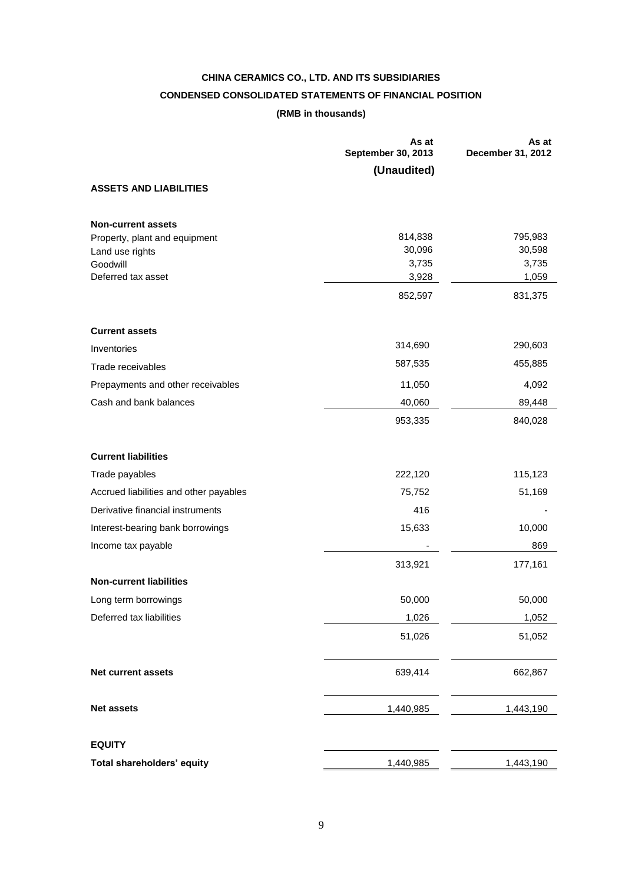# **CHINA CERAMICS CO., LTD. AND ITS SUBSIDIARIES CONDENSED CONSOLIDATED STATEMENTS OF FINANCIAL POSITION (RMB in thousands)**

|                                        | As at<br><b>September 30, 2013</b> | As at<br>December 31, 2012 |
|----------------------------------------|------------------------------------|----------------------------|
|                                        | (Unaudited)                        |                            |
| <b>ASSETS AND LIABILITIES</b>          |                                    |                            |
| <b>Non-current assets</b>              |                                    |                            |
| Property, plant and equipment          | 814,838<br>30,096                  | 795,983                    |
| Land use rights<br>Goodwill            | 3,735                              | 30,598<br>3,735            |
| Deferred tax asset                     | 3,928                              | 1,059                      |
|                                        | 852,597                            | 831,375                    |
| <b>Current assets</b>                  |                                    |                            |
| Inventories                            | 314,690                            | 290,603                    |
| Trade receivables                      | 587,535                            | 455,885                    |
| Prepayments and other receivables      | 11,050                             | 4,092                      |
| Cash and bank balances                 | 40,060                             | 89,448                     |
|                                        | 953,335                            | 840,028                    |
| <b>Current liabilities</b>             |                                    |                            |
| Trade payables                         | 222,120                            | 115,123                    |
| Accrued liabilities and other payables | 75,752                             | 51,169                     |
| Derivative financial instruments       | 416                                |                            |
| Interest-bearing bank borrowings       | 15,633                             | 10,000                     |
| Income tax payable                     |                                    | 869                        |
|                                        | 313,921                            | 177,161                    |
| <b>Non-current liabilities</b>         |                                    |                            |
| Long term borrowings                   | 50,000                             | 50,000                     |
| Deferred tax liabilities               | 1,026                              | 1,052                      |
|                                        | 51,026                             | 51,052                     |
| Net current assets                     | 639,414                            | 662,867                    |
| <b>Net assets</b>                      | 1,440,985                          | 1,443,190                  |
| <b>EQUITY</b>                          |                                    |                            |
| <b>Total shareholders' equity</b>      | 1,440,985                          | 1,443,190                  |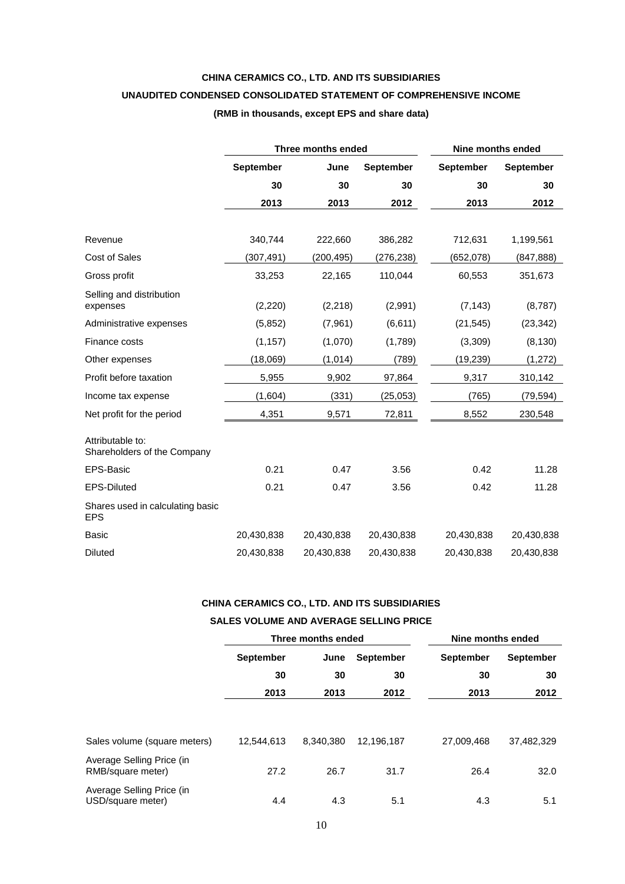# **CHINA CERAMICS CO., LTD. AND ITS SUBSIDIARIES UNAUDITED CONDENSED CONSOLIDATED STATEMENT OF COMPREHENSIVE INCOME (RMB in thousands, except EPS and share data)**

|                                                 |                  | Three months ended | <b>Nine months ended</b> |                  |            |  |
|-------------------------------------------------|------------------|--------------------|--------------------------|------------------|------------|--|
|                                                 | <b>September</b> | June               | September                | <b>September</b> | September  |  |
|                                                 | 30               | 30                 | 30                       | 30               | 30         |  |
|                                                 | 2013             | 2013               | 2012                     | 2013             | 2012       |  |
|                                                 |                  |                    |                          |                  |            |  |
| Revenue                                         | 340,744          | 222,660            | 386,282                  | 712,631          | 1,199,561  |  |
| <b>Cost of Sales</b>                            | (307, 491)       | (200, 495)         | (276, 238)               | (652,078)        | (847, 888) |  |
| Gross profit                                    | 33,253           | 22,165             | 110,044                  | 60,553           | 351,673    |  |
| Selling and distribution<br>expenses            | (2, 220)         | (2, 218)           | (2,991)                  | (7, 143)         | (8,787)    |  |
| Administrative expenses                         | (5,852)          | (7,961)            | (6,611)                  | (21, 545)        | (23, 342)  |  |
| Finance costs                                   | (1, 157)         | (1,070)            | (1,789)                  | (3,309)          | (8, 130)   |  |
| Other expenses                                  | (18,069)         | (1,014)            | (789)                    | (19, 239)        | (1, 272)   |  |
| Profit before taxation                          | 5,955            | 9,902              | 97,864                   | 9,317            | 310,142    |  |
| Income tax expense                              | (1,604)          | (331)              | (25, 053)                | (765)            | (79, 594)  |  |
| Net profit for the period                       | 4,351            | 9,571              | 72,811                   | 8,552            | 230,548    |  |
| Attributable to:<br>Shareholders of the Company |                  |                    |                          |                  |            |  |
| <b>EPS-Basic</b>                                | 0.21             | 0.47               | 3.56                     | 0.42             | 11.28      |  |
| <b>EPS-Diluted</b>                              | 0.21             | 0.47               | 3.56                     | 0.42             | 11.28      |  |
| Shares used in calculating basic<br><b>EPS</b>  |                  |                    |                          |                  |            |  |
| <b>Basic</b>                                    | 20,430,838       | 20,430,838         | 20,430,838               | 20,430,838       | 20,430,838 |  |
| <b>Diluted</b>                                  | 20,430,838       | 20,430,838         | 20,430,838               | 20,430,838       | 20,430,838 |  |

## **CHINA CERAMICS CO., LTD. AND ITS SUBSIDIARIES**

# **SALES VOLUME AND AVERAGE SELLING PRICE**

|                                                |                  | Three months ended | Nine months ended |                  |                  |
|------------------------------------------------|------------------|--------------------|-------------------|------------------|------------------|
|                                                | <b>September</b> | June               | <b>September</b>  | <b>September</b> | <b>September</b> |
|                                                | 30               | 30                 | 30                | 30               | 30               |
|                                                | 2013             | 2013               | 2012              | 2013             | 2012             |
|                                                |                  |                    |                   |                  |                  |
|                                                |                  |                    |                   |                  |                  |
| Sales volume (square meters)                   | 12,544,613       | 8,340,380          | 12,196,187        | 27,009,468       | 37,482,329       |
| Average Selling Price (in<br>RMB/square meter) | 27.2             | 26.7               | 31.7              | 26.4             | 32.0             |
| Average Selling Price (in<br>USD/square meter) | 4.4              | 4.3                | 5.1               | 4.3              | 5.1              |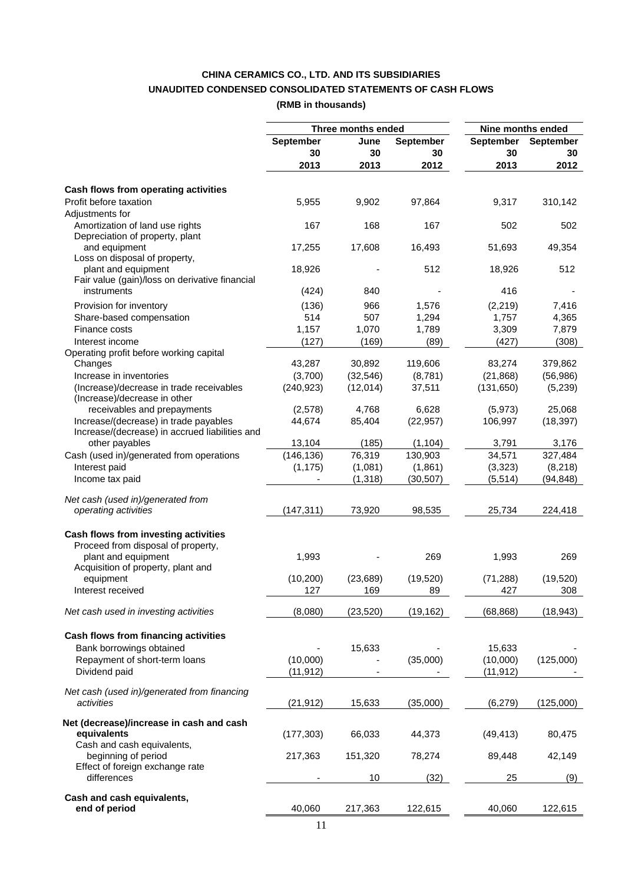# **CHINA CERAMICS CO., LTD. AND ITS SUBSIDIARIES UNAUDITED CONDENSED CONSOLIDATED STATEMENTS OF CASH FLOWS (RMB in thousands)**

|                                                           | Three months ended |           |                  | Nine months ended |           |  |
|-----------------------------------------------------------|--------------------|-----------|------------------|-------------------|-----------|--|
|                                                           | September          | June      | <b>September</b> | September         | September |  |
|                                                           | 30                 | 30        | 30               | 30                | 30        |  |
|                                                           | 2013               | 2013      | 2012             | 2013              | 2012      |  |
|                                                           |                    |           |                  |                   |           |  |
| Cash flows from operating activities                      |                    |           |                  |                   |           |  |
| Profit before taxation                                    | 5,955              | 9,902     | 97,864           | 9,317             | 310,142   |  |
| Adjustments for                                           |                    |           |                  |                   |           |  |
| Amortization of land use rights                           | 167                | 168       | 167              | 502               | 502       |  |
| Depreciation of property, plant                           |                    |           |                  |                   |           |  |
| and equipment                                             | 17,255             | 17,608    | 16,493           | 51,693            | 49,354    |  |
| Loss on disposal of property,                             |                    |           |                  |                   |           |  |
| plant and equipment                                       | 18,926             |           | 512              | 18,926            | 512       |  |
| Fair value (gain)/loss on derivative financial            |                    |           |                  |                   |           |  |
| instruments                                               | (424)              | 840       |                  | 416               |           |  |
| Provision for inventory                                   | (136)              | 966       | 1,576            | (2, 219)          | 7,416     |  |
| Share-based compensation                                  | 514                | 507       | 1,294            | 1,757             | 4,365     |  |
| Finance costs                                             | 1,157              | 1,070     | 1,789            | 3,309             | 7,879     |  |
| Interest income                                           | (127)              | (169)     | (89)             | (427)             | (308)     |  |
| Operating profit before working capital                   |                    |           |                  |                   |           |  |
| Changes                                                   | 43,287             | 30,892    | 119,606          | 83,274            | 379,862   |  |
| Increase in inventories                                   | (3,700)            | (32, 546) | (8,781)          | (21, 868)         | (56, 986) |  |
| (Increase)/decrease in trade receivables                  | (240, 923)         | (12, 014) | 37,511           | (131, 650)        | (5,239)   |  |
| (Increase)/decrease in other                              |                    |           |                  |                   |           |  |
| receivables and prepayments                               | (2,578)            | 4,768     | 6,628            | (5,973)           | 25,068    |  |
| Increase/(decrease) in trade payables                     | 44,674             | 85,404    | (22, 957)        | 106,997           | (18, 397) |  |
| Increase/(decrease) in accrued liabilities and            |                    |           |                  |                   |           |  |
| other payables                                            | 13,104             | (185)     | (1, 104)         | 3,791             | 3,176     |  |
| Cash (used in)/generated from operations                  | (146, 136)         | 76,319    | 130,903          | 34,571            | 327,484   |  |
| Interest paid                                             | (1, 175)           | (1,081)   | (1,861)          | (3,323)           | (8,218)   |  |
| Income tax paid                                           |                    | (1, 318)  | (30, 507)        | (5, 514)          | (94, 848) |  |
|                                                           |                    |           |                  |                   |           |  |
| Net cash (used in)/generated from                         |                    |           |                  |                   |           |  |
| operating activities                                      | (147, 311)         | 73,920    | 98,535           | 25,734            | 224,418   |  |
|                                                           |                    |           |                  |                   |           |  |
| Cash flows from investing activities                      |                    |           |                  |                   |           |  |
| Proceed from disposal of property,<br>plant and equipment | 1,993              |           | 269              | 1,993             | 269       |  |
| Acquisition of property, plant and                        |                    |           |                  |                   |           |  |
| equipment                                                 | (10, 200)          | (23, 689) | (19,520)         | (71, 288)         | (19,520)  |  |
| Interest received                                         | 127                | 169       | 89               | 427               | 308       |  |
|                                                           |                    |           |                  |                   |           |  |
| Net cash used in investing activities                     | (8,080)            | (23, 520) | (19, 162)        | (68, 868)         | (18, 943) |  |
|                                                           |                    |           |                  |                   |           |  |
| Cash flows from financing activities                      |                    |           |                  |                   |           |  |
| Bank borrowings obtained                                  |                    | 15,633    |                  | 15,633            |           |  |
| Repayment of short-term loans                             | (10,000)           |           | (35,000)         | (10,000)          | (125,000) |  |
| Dividend paid                                             | (11, 912)          |           |                  | (11, 912)         |           |  |
|                                                           |                    |           |                  |                   |           |  |
| Net cash (used in)/generated from financing               |                    |           |                  |                   |           |  |
| activities                                                | (21, 912)          | 15,633    | (35,000)         | (6, 279)          | (125,000) |  |
| Net (decrease)/increase in cash and cash                  |                    |           |                  |                   |           |  |
| equivalents                                               | (177, 303)         | 66,033    | 44,373           | (49, 413)         | 80,475    |  |
| Cash and cash equivalents,                                |                    |           |                  |                   |           |  |
| beginning of period                                       | 217,363            | 151,320   | 78,274           | 89,448            | 42,149    |  |
| Effect of foreign exchange rate                           |                    |           |                  |                   |           |  |
| differences                                               |                    | 10        | (32)             | 25                | (9)       |  |
|                                                           |                    |           |                  |                   |           |  |
| Cash and cash equivalents,<br>end of period               |                    |           |                  |                   |           |  |
|                                                           | 40,060             | 217,363   | 122,615          | 40,060            | 122,615   |  |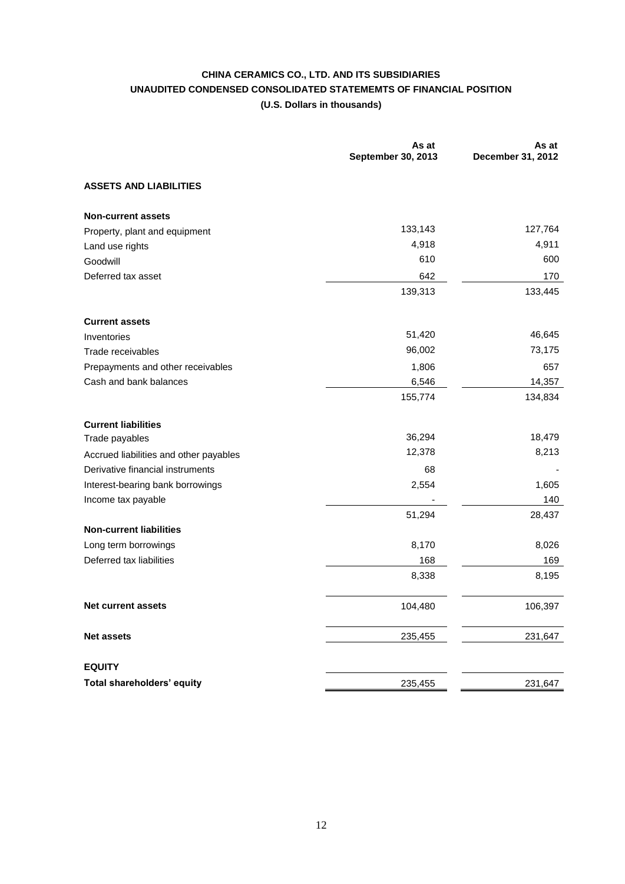# **CHINA CERAMICS CO., LTD. AND ITS SUBSIDIARIES UNAUDITED CONDENSED CONSOLIDATED STATEMEMTS OF FINANCIAL POSITION (U.S. Dollars in thousands)**

|                                        | As at<br>September 30, 2013 | As at<br>December 31, 2012 |
|----------------------------------------|-----------------------------|----------------------------|
| <b>ASSETS AND LIABILITIES</b>          |                             |                            |
| <b>Non-current assets</b>              |                             |                            |
| Property, plant and equipment          | 133,143                     | 127,764                    |
| Land use rights                        | 4,918                       | 4,911                      |
| Goodwill                               | 610                         | 600                        |
| Deferred tax asset                     | 642                         | 170                        |
|                                        | 139,313                     | 133,445                    |
| <b>Current assets</b>                  |                             |                            |
| Inventories                            | 51,420                      | 46,645                     |
| Trade receivables                      | 96,002                      | 73,175                     |
| Prepayments and other receivables      | 1,806                       | 657                        |
| Cash and bank balances                 | 6,546                       | 14,357                     |
|                                        | 155,774                     | 134,834                    |
| <b>Current liabilities</b>             |                             |                            |
| Trade payables                         | 36,294                      | 18,479                     |
| Accrued liabilities and other payables | 12,378                      | 8,213                      |
| Derivative financial instruments       | 68                          |                            |
| Interest-bearing bank borrowings       | 2,554                       | 1,605                      |
| Income tax payable                     |                             | 140                        |
|                                        | 51,294                      | 28,437                     |
| <b>Non-current liabilities</b>         |                             |                            |
| Long term borrowings                   | 8,170                       | 8,026                      |
| Deferred tax liabilities               | 168                         | 169                        |
|                                        | 8,338                       | 8,195                      |
| <b>Net current assets</b>              | 104,480                     | 106,397                    |
| <b>Net assets</b>                      | 235,455                     | 231,647                    |
| <b>EQUITY</b>                          |                             |                            |
| Total shareholders' equity             | 235,455                     | 231,647                    |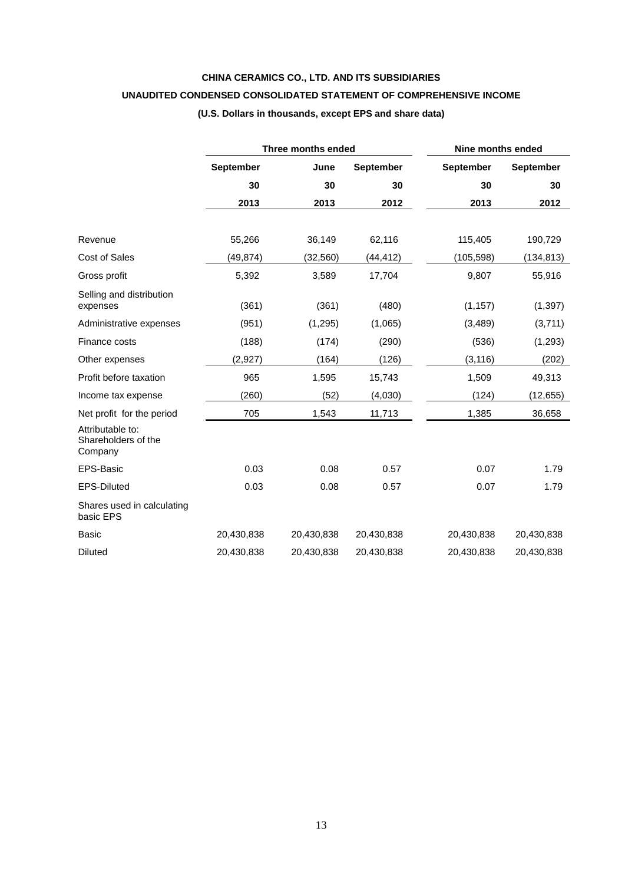# **CHINA CERAMICS CO., LTD. AND ITS SUBSIDIARIES UNAUDITED CONDENSED CONSOLIDATED STATEMENT OF COMPREHENSIVE INCOME (U.S. Dollars in thousands, except EPS and share data)**

|                                                    |                  | <b>Three months ended</b> |            | Nine months ended |            |  |  |
|----------------------------------------------------|------------------|---------------------------|------------|-------------------|------------|--|--|
|                                                    | <b>September</b> | June                      | September  | September         | September  |  |  |
|                                                    | 30               | 30                        | 30         | 30                | 30         |  |  |
|                                                    | 2013             | 2013                      | 2012       | 2013              | 2012       |  |  |
|                                                    |                  |                           |            |                   |            |  |  |
| Revenue                                            | 55,266           | 36,149                    | 62,116     | 115,405           | 190,729    |  |  |
| <b>Cost of Sales</b>                               | (49,874)         | (32, 560)                 | (44,412)   | (105,598)         | (134, 813) |  |  |
| Gross profit                                       | 5,392            | 3,589                     | 17,704     | 9,807             | 55,916     |  |  |
| Selling and distribution<br>expenses               | (361)            | (361)                     | (480)      | (1, 157)          | (1, 397)   |  |  |
| Administrative expenses                            | (951)            | (1,295)                   | (1,065)    | (3,489)           | (3,711)    |  |  |
| Finance costs                                      | (188)            | (174)                     | (290)      | (536)             | (1,293)    |  |  |
| Other expenses                                     | (2, 927)         | (164)                     | (126)      | (3, 116)          | (202)      |  |  |
| Profit before taxation                             | 965              | 1,595                     | 15,743     | 1,509             | 49,313     |  |  |
| Income tax expense                                 | (260)            | (52)                      | (4,030)    | (124)             | (12, 655)  |  |  |
| Net profit for the period                          | 705              | 1,543                     | 11,713     | 1,385             | 36,658     |  |  |
| Attributable to:<br>Shareholders of the<br>Company |                  |                           |            |                   |            |  |  |
| <b>EPS-Basic</b>                                   | 0.03             | 0.08                      | 0.57       | 0.07              | 1.79       |  |  |
| <b>EPS-Diluted</b>                                 | 0.03             | 0.08                      | 0.57       | 0.07              | 1.79       |  |  |
| Shares used in calculating<br>basic EPS            |                  |                           |            |                   |            |  |  |
| <b>Basic</b>                                       | 20,430,838       | 20,430,838                | 20,430,838 | 20,430,838        | 20,430,838 |  |  |
| <b>Diluted</b>                                     | 20,430,838       | 20,430,838                | 20,430,838 | 20,430,838        | 20,430,838 |  |  |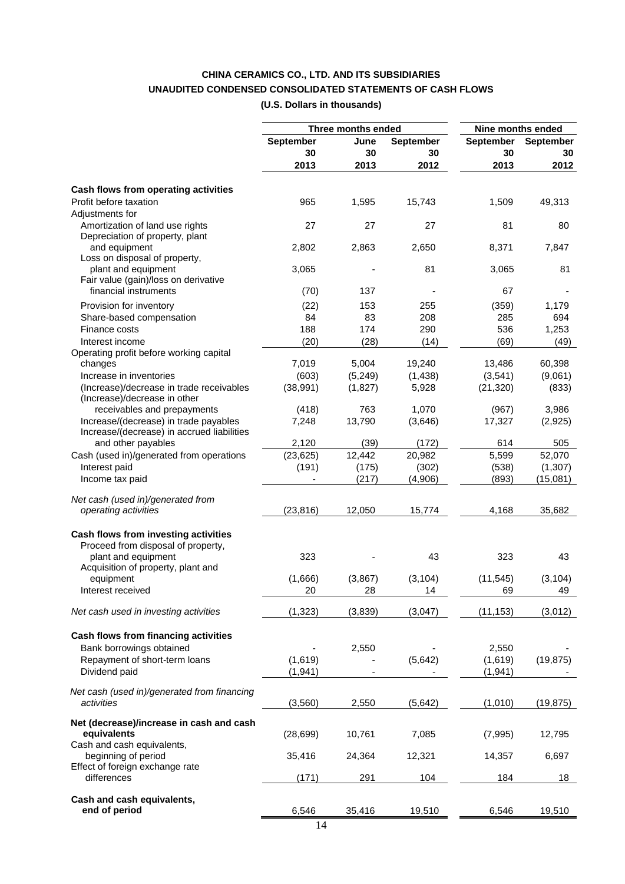# **CHINA CERAMICS CO., LTD. AND ITS SUBSIDIARIES UNAUDITED CONDENSED CONSOLIDATED STATEMENTS OF CASH FLOWS (U.S. Dollars in thousands)**

|                                                                                     |                  | Three months ended |                  | Nine months ended |           |  |
|-------------------------------------------------------------------------------------|------------------|--------------------|------------------|-------------------|-----------|--|
|                                                                                     | <b>September</b> | June               | <b>September</b> | <b>September</b>  | September |  |
|                                                                                     | 30               | 30                 | 30               | 30                | 30        |  |
|                                                                                     | 2013             | 2013               | 2012             | 2013              | 2012      |  |
| Cash flows from operating activities                                                |                  |                    |                  |                   |           |  |
| Profit before taxation                                                              | 965              | 1,595              | 15,743           | 1,509             | 49,313    |  |
| Adjustments for                                                                     |                  |                    |                  |                   |           |  |
| Amortization of land use rights<br>Depreciation of property, plant                  | 27               | 27                 | 27               | 81                | 80        |  |
| and equipment<br>Loss on disposal of property,                                      | 2,802            | 2,863              | 2,650            | 8,371             | 7,847     |  |
| plant and equipment<br>Fair value (gain)/loss on derivative                         | 3,065            |                    | 81               | 3,065             | 81        |  |
| financial instruments                                                               | (70)             | 137                |                  | 67                |           |  |
| Provision for inventory                                                             | (22)             | 153                | 255              | (359)             | 1,179     |  |
| Share-based compensation                                                            | 84               | 83                 | 208              | 285               | 694       |  |
| Finance costs                                                                       | 188              | 174                | 290              | 536               | 1,253     |  |
| Interest income                                                                     | (20)             | (28)               | (14)             | (69)              | (49)      |  |
| Operating profit before working capital                                             |                  |                    |                  |                   |           |  |
| changes                                                                             | 7,019            | 5,004              | 19,240           | 13,486            | 60,398    |  |
| Increase in inventories                                                             | (603)            | (5,249)            | (1,438)          | (3,541)           | (9,061)   |  |
| (Increase)/decrease in trade receivables<br>(Increase)/decrease in other            | (38, 991)        | (1,827)            | 5,928            | (21, 320)         | (833)     |  |
| receivables and prepayments                                                         | (418)            | 763                | 1,070            | (967)             | 3,986     |  |
| Increase/(decrease) in trade payables<br>Increase/(decrease) in accrued liabilities | 7,248            | 13,790             | (3,646)          | 17,327            | (2,925)   |  |
| and other payables                                                                  | 2,120            | (39)               | (172)            | 614               | 505       |  |
| Cash (used in)/generated from operations                                            | (23, 625)        | 12,442             | 20,982           | 5,599             | 52,070    |  |
| Interest paid                                                                       | (191)            | (175)              | (302)            | (538)             | (1, 307)  |  |
| Income tax paid                                                                     |                  | (217)              | (4,906)          | (893)             | (15,081)  |  |
| Net cash (used in)/generated from<br>operating activities                           | (23, 816)        | 12,050             | 15,774           | 4,168             | 35,682    |  |
|                                                                                     |                  |                    |                  |                   |           |  |
| Cash flows from investing activities                                                |                  |                    |                  |                   |           |  |
| Proceed from disposal of property,                                                  |                  |                    |                  |                   |           |  |
| plant and equipment                                                                 | 323              |                    | 43               | 323               | 43        |  |
| Acquisition of property, plant and                                                  |                  |                    |                  |                   |           |  |
| equipment                                                                           | (1,666)          | (3,867)            | (3, 104)         | (11, 545)         | (3, 104)  |  |
| Interest received                                                                   | 20               | 28                 | 14               | 69                | 49        |  |
| Net cash used in investing activities                                               | (1, 323)         | (3,839)            | (3,047)          | (11, 153)         | (3,012)   |  |
| Cash flows from financing activities                                                |                  |                    |                  |                   |           |  |
| Bank borrowings obtained                                                            |                  | 2,550              |                  | 2,550             |           |  |
| Repayment of short-term loans                                                       | (1,619)          |                    | (5,642)          | (1,619)           | (19, 875) |  |
| Dividend paid                                                                       | (1, 941)         |                    |                  | (1, 941)          |           |  |
| Net cash (used in)/generated from financing                                         |                  |                    |                  |                   |           |  |
| activities                                                                          | (3, 560)         | 2,550              | (5,642)          | (1,010)           | (19, 875) |  |
| Net (decrease)/increase in cash and cash                                            |                  |                    |                  |                   |           |  |
| equivalents                                                                         | (28, 699)        | 10,761             | 7,085            | (7, 995)          | 12,795    |  |
| Cash and cash equivalents,                                                          |                  |                    |                  |                   |           |  |
| beginning of period                                                                 | 35,416           | 24,364             | 12,321           | 14,357            | 6,697     |  |
| Effect of foreign exchange rate<br>differences                                      | (171)            | 291                | 104              | 184               | 18        |  |
|                                                                                     |                  |                    |                  |                   |           |  |
| Cash and cash equivalents,                                                          |                  |                    |                  |                   |           |  |
| end of period                                                                       | 6,546            | 35,416             | 19,510           | 6,546             | 19,510    |  |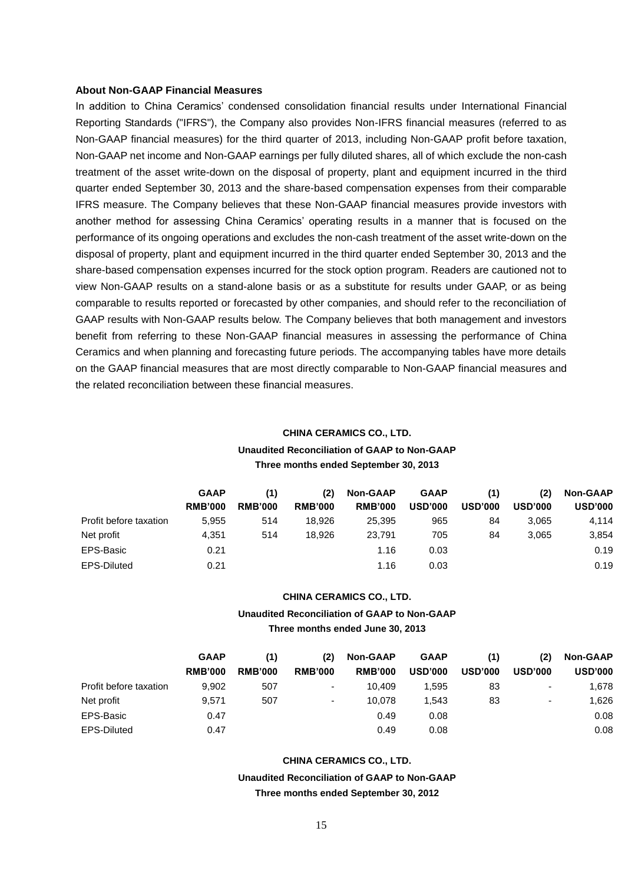## **About Non-GAAP Financial Measures**

In addition to China Ceramics' condensed consolidation financial results under International Financial Reporting Standards ("IFRS"), the Company also provides Non-IFRS financial measures (referred to as Non-GAAP financial measures) for the third quarter of 2013, including Non-GAAP profit before taxation, Non-GAAP net income and Non-GAAP earnings per fully diluted shares, all of which exclude the non-cash treatment of the asset write-down on the disposal of property, plant and equipment incurred in the third quarter ended September 30, 2013 and the share-based compensation expenses from their comparable IFRS measure. The Company believes that these Non-GAAP financial measures provide investors with another method for assessing China Ceramics' operating results in a manner that is focused on the performance of its ongoing operations and excludes the non-cash treatment of the asset write-down on the disposal of property, plant and equipment incurred in the third quarter ended September 30, 2013 and the share-based compensation expenses incurred for the stock option program. Readers are cautioned not to view Non-GAAP results on a stand-alone basis or as a substitute for results under GAAP, or as being comparable to results reported or forecasted by other companies, and should refer to the reconciliation of GAAP results with Non-GAAP results below. The Company believes that both management and investors benefit from referring to these Non-GAAP financial measures in assessing the performance of China Ceramics and when planning and forecasting future periods. The accompanying tables have more details on the GAAP financial measures that are most directly comparable to Non-GAAP financial measures and the related reconciliation between these financial measures.

# **CHINA CERAMICS CO., LTD.**

# **Unaudited Reconciliation of GAAP to Non-GAAP**

| Three months ended September 30, 2013 |  |  |  |
|---------------------------------------|--|--|--|
|---------------------------------------|--|--|--|

|                        | <b>GAAP</b>    | (1)            | (2)            | <b>Non-GAAP</b> | <b>GAAP</b>    | (1)            | (2)            | <b>Non-GAAP</b> |
|------------------------|----------------|----------------|----------------|-----------------|----------------|----------------|----------------|-----------------|
|                        | <b>RMB'000</b> | <b>RMB'000</b> | <b>RMB'000</b> | <b>RMB'000</b>  | <b>USD'000</b> | <b>USD'000</b> | <b>USD'000</b> | <b>USD'000</b>  |
| Profit before taxation | 5.955          | 514            | 18.926         | 25.395          | 965            | 84             | 3.065          | 4,114           |
| Net profit             | 4.351          | 514            | 18.926         | 23.791          | 705            | 84             | 3.065          | 3,854           |
| EPS-Basic              | 0.21           |                |                | 1.16            | 0.03           |                |                | 0.19            |
| <b>EPS-Diluted</b>     | 0.21           |                |                | 1.16            | 0.03           |                |                | 0.19            |

#### **CHINA CERAMICS CO., LTD.**

#### **Unaudited Reconciliation of GAAP to Non-GAAP**

**Three months ended June 30, 2013**

|                        | <b>GAAP</b>    | (1)            | (2)            | <b>Non-GAAP</b> | <b>GAAP</b>    | (1)            | (2)            | <b>Non-GAAP</b> |
|------------------------|----------------|----------------|----------------|-----------------|----------------|----------------|----------------|-----------------|
|                        | <b>RMB'000</b> | <b>RMB'000</b> | <b>RMB'000</b> | <b>RMB'000</b>  | <b>USD'000</b> | <b>USD'000</b> | <b>USD'000</b> | <b>USD'000</b>  |
| Profit before taxation | 9.902          | 507            | $\blacksquare$ | 10.409          | .595           | 83             | ۰              | 1,678           |
| Net profit             | 9.571          | 507            | $\blacksquare$ | 10.078          | .543           | 83             | ٠              | 1,626           |
| EPS-Basic              | 0.47           |                |                | 0.49            | 0.08           |                |                | 0.08            |
| <b>EPS-Diluted</b>     | 0.47           |                |                | 0.49            | 0.08           |                |                | 0.08            |

#### **CHINA CERAMICS CO., LTD.**

#### **Unaudited Reconciliation of GAAP to Non-GAAP**

**Three months ended September 30, 2012**